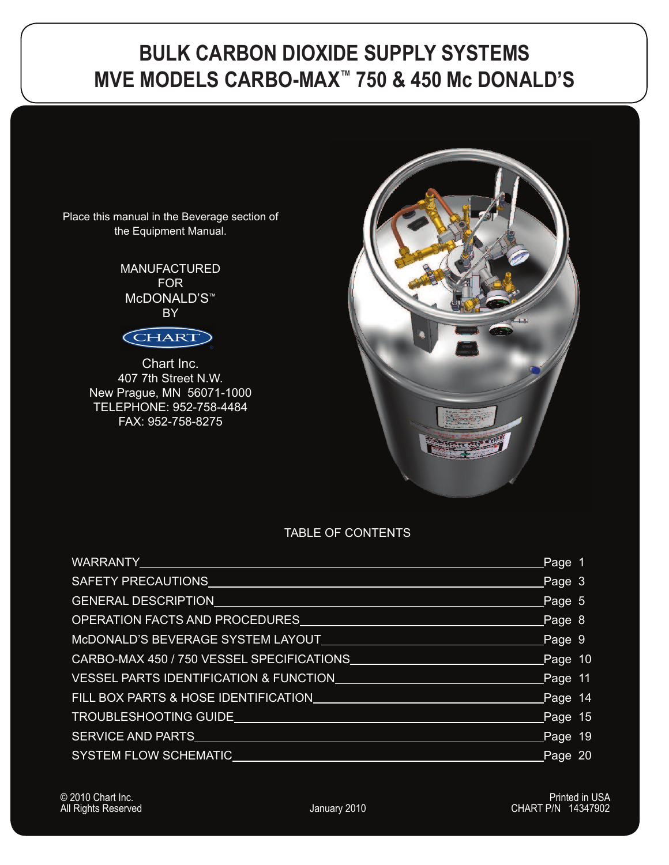### **BULK CARBON DIOXIDE SUPPLY SYSTEMS MVE MODELS CARBO-MAX™ 750 & 450 Mc DONALD'S**

Place this manual in the Beverage section of the Equipment Manual.

> MANUFACTURED FOR McDONALD'S™ BY



Chart Inc. 407 7th Street N.W. New Prague, MN 56071-1000 TELEPHONE: 952-758-4484 FAX: 952-758-8275



#### TABLE OF CONTENTS

| <u>WARRANTY Les Les Les Le</u>                                                                                                                                                                                                 | Page 1        |  |
|--------------------------------------------------------------------------------------------------------------------------------------------------------------------------------------------------------------------------------|---------------|--|
| SAFETY PRECAUTIONS                                                                                                                                                                                                             | Page 3        |  |
| GENERAL DESCRIPTION EXAMPLE THE STATE OF THE STATE OF THE STATE OF THE STATE OF THE STATE OF THE STATE OF THE STATE OF THE STATE OF THE STATE OF THE STATE OF THE STATE OF THE STATE OF THE STATE OF THE STATE OF THE STATE OF | Page 5        |  |
| OPERATION FACTS AND PROCEDURES                                                                                                                                                                                                 | Page 8        |  |
| McDONALD'S BEVERAGE SYSTEM LAYOUT                                                                                                                                                                                              | $\Box$ Page 9 |  |
| CARBO-MAX 450 / 750 VESSEL SPECIFICATIONS<br><b>Page 10</b>                                                                                                                                                                    |               |  |
| VESSEL PARTS IDENTIFICATION & FUNCTION CONTROL CONTROL CONTROL Page 11                                                                                                                                                         |               |  |
| FILL BOX PARTS & HOSE IDENTIFICATION                                                                                                                                                                                           | Page 14       |  |
| TROUBLESHOOTING GUIDELAND AND TROUBLESHOOTING                                                                                                                                                                                  | Page $15$     |  |
| SERVICE AND PARTS                                                                                                                                                                                                              | Page 19       |  |
| SYSTEM FLOW SCHEMATIC                                                                                                                                                                                                          | Page 20       |  |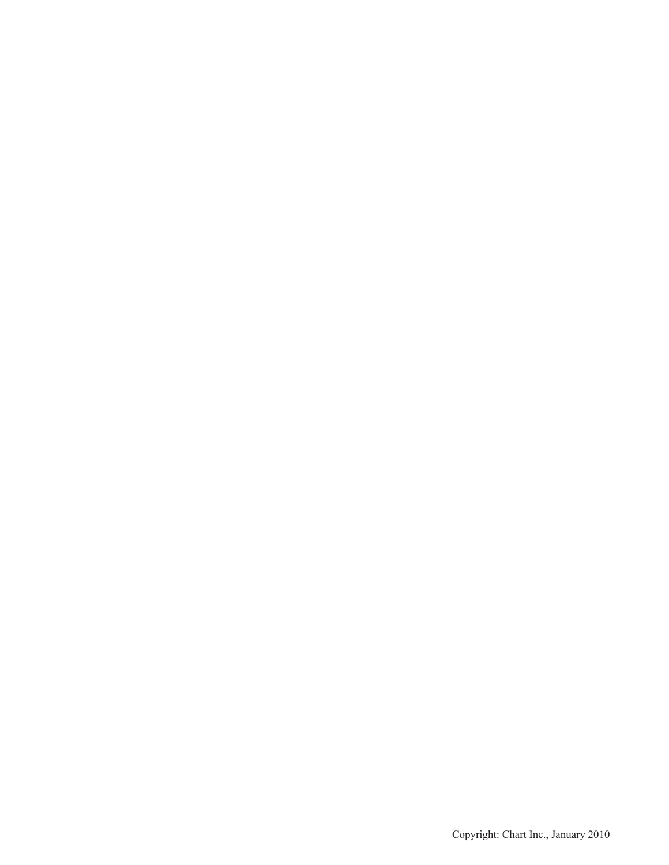Copyright: Chart Inc., January 2010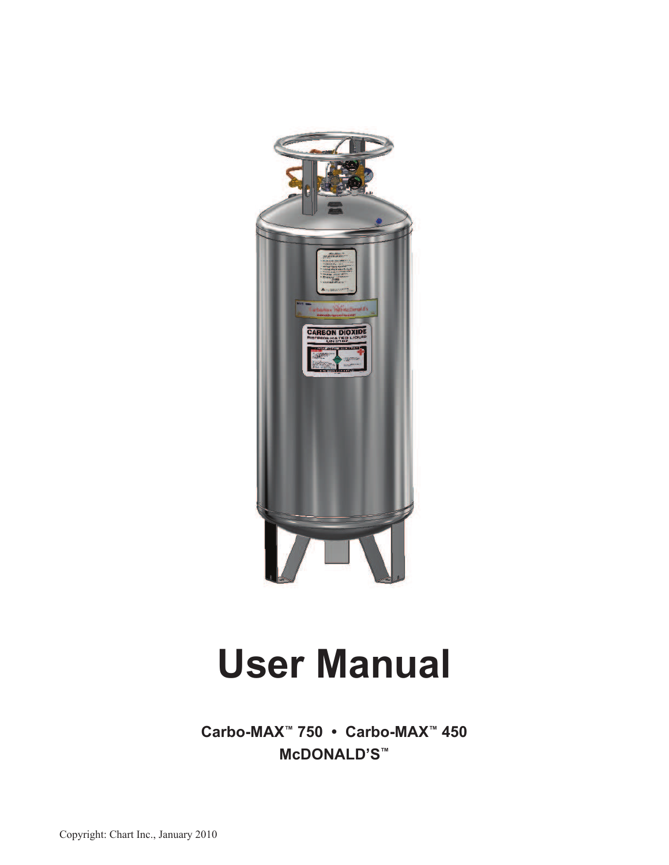

# **User Manual**

**Carbo-MAX™ 750 • Carbo-MAX™ 450 McDONALD'S™**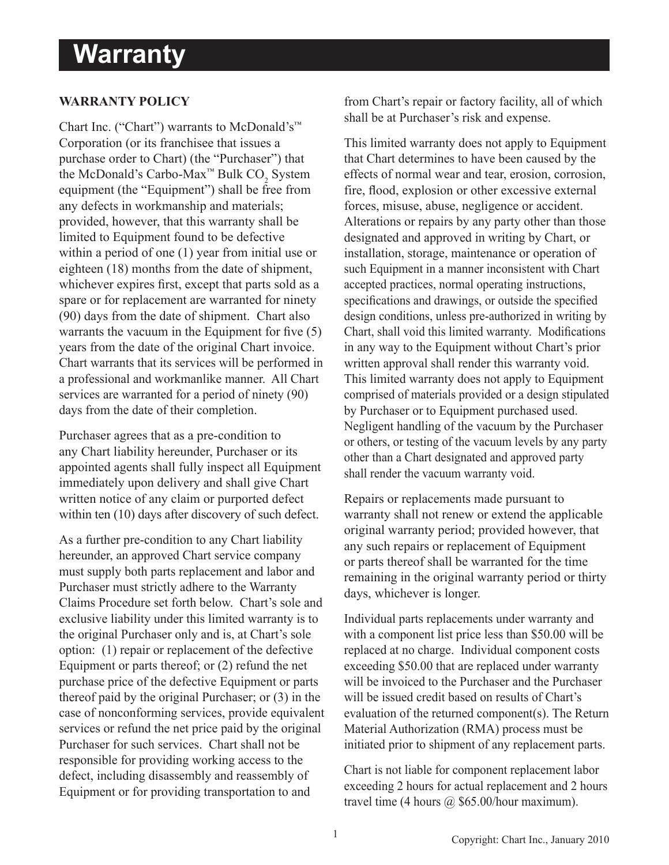### **Warranty**

#### **WARRANTY POLICY**

Chart Inc. ("Chart") warrants to McDonald's™ Corporation (or its franchisee that issues a purchase order to Chart) (the "Purchaser") that the McDonald's Carbo-Max<sup>™</sup> Bulk CO<sub>2</sub> System equipment (the "Equipment") shall be free from any defects in workmanship and materials; provided, however, that this warranty shall be limited to Equipment found to be defective within a period of one (1) year from initial use or eighteen (18) months from the date of shipment, whichever expires first, except that parts sold as a spare or for replacement are warranted for ninety (90) days from the date of shipment. Chart also warrants the vacuum in the Equipment for five  $(5)$ years from the date of the original Chart invoice. Chart warrants that its services will be performed in a professional and workmanlike manner. All Chart services are warranted for a period of ninety (90) days from the date of their completion.

Purchaser agrees that as a pre-condition to any Chart liability hereunder, Purchaser or its appointed agents shall fully inspect all Equipment immediately upon delivery and shall give Chart written notice of any claim or purported defect within ten (10) days after discovery of such defect.

As a further pre-condition to any Chart liability hereunder, an approved Chart service company must supply both parts replacement and labor and Purchaser must strictly adhere to the Warranty Claims Procedure set forth below. Chart's sole and exclusive liability under this limited warranty is to the original Purchaser only and is, at Chart's sole option: (1) repair or replacement of the defective Equipment or parts thereof; or (2) refund the net purchase price of the defective Equipment or parts thereof paid by the original Purchaser; or (3) in the case of nonconforming services, provide equivalent services or refund the net price paid by the original Purchaser for such services. Chart shall not be responsible for providing working access to the defect, including disassembly and reassembly of Equipment or for providing transportation to and

from Chart's repair or factory facility, all of which shall be at Purchaser's risk and expense.

This limited warranty does not apply to Equipment that Chart determines to have been caused by the effects of normal wear and tear, erosion, corrosion, fire, flood, explosion or other excessive external forces, misuse, abuse, negligence or accident. Alterations or repairs by any party other than those designated and approved in writing by Chart, or installation, storage, maintenance or operation of such Equipment in a manner inconsistent with Chart accepted practices, normal operating instructions, specifications and drawings, or outside the specified design conditions, unless pre-authorized in writing by Chart, shall void this limited warranty. Modifications in any way to the Equipment without Chart's prior written approval shall render this warranty void. This limited warranty does not apply to Equipment comprised of materials provided or a design stipulated by Purchaser or to Equipment purchased used. Negligent handling of the vacuum by the Purchaser or others, or testing of the vacuum levels by any party other than a Chart designated and approved party shall render the vacuum warranty void.

Repairs or replacements made pursuant to warranty shall not renew or extend the applicable original warranty period; provided however, that any such repairs or replacement of Equipment or parts thereof shall be warranted for the time remaining in the original warranty period or thirty days, whichever is longer.

Individual parts replacements under warranty and with a component list price less than \$50.00 will be replaced at no charge. Individual component costs exceeding \$50.00 that are replaced under warranty will be invoiced to the Purchaser and the Purchaser will be issued credit based on results of Chart's evaluation of the returned component(s). The Return Material Authorization (RMA) process must be initiated prior to shipment of any replacement parts.

Chart is not liable for component replacement labor exceeding 2 hours for actual replacement and 2 hours travel time (4 hours  $\omega$  \$65.00/hour maximum).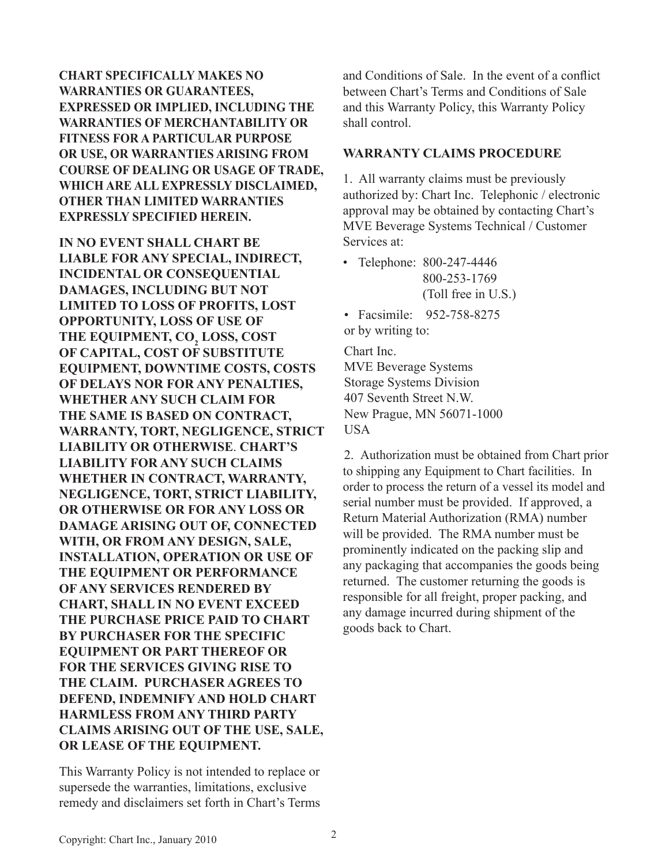**CHART SPECIFICALLY MAKES NO WARRANTIES OR GUARANTEES, EXPRESSED OR IMPLIED, INCLUDING THE WARRANTIES OF MERCHANTABILITY OR FITNESS FOR A PARTICULAR PURPOSE OR USE, OR WARRANTIES ARISING FROM COURSE OF DEALING OR USAGE OF TRADE, WHICH ARE ALL EXPRESSLY DISCLAIMED, OTHER THAN LIMITED WARRANTIES EXPRESSLY SPECIFIED HEREIN.** 

**IN NO EVENT SHALL CHART BE LIABLE FOR ANY SPECIAL, INDIRECT, INCIDENTAL OR CONSEQUENTIAL DAMAGES, INCLUDING BUT NOT LIMITED TO LOSS OF PROFITS, LOST OPPORTUNITY, LOSS OF USE OF THE EQUIPMENT, CO<sup>2</sup> LOSS, COST OF CAPITAL, COST OF SUBSTITUTE EQUIPMENT, DOWNTIME COSTS, COSTS OF DELAYS NOR FOR ANY PENALTIES, WHETHER ANY SUCH CLAIM FOR THE SAME IS BASED ON CONTRACT, WARRANTY, TORT, NEGLIGENCE, STRICT LIABILITY OR OTHERWISE**. **CHART'S LIABILITY FOR ANY SUCH CLAIMS WHETHER IN CONTRACT, WARRANTY, NEGLIGENCE, TORT, STRICT LIABILITY, OR OTHERWISE OR FOR ANY LOSS OR DAMAGE ARISING OUT OF, CONNECTED WITH, OR FROM ANY DESIGN, SALE, INSTALLATION, OPERATION OR USE OF THE EQUIPMENT OR PERFORMANCE OF ANY SERVICES RENDERED BY CHART, SHALL IN NO EVENT EXCEED THE PURCHASE PRICE PAID TO CHART BY PURCHASER FOR THE SPECIFIC EQUIPMENT OR PART THEREOF OR FOR THE SERVICES GIVING RISE TO THE CLAIM. PURCHASER AGREES TO DEFEND, INDEMNIFY AND HOLD CHART HARMLESS FROM ANY THIRD PARTY CLAIMS ARISING OUT OF THE USE, SALE, OR LEASE OF THE EQUIPMENT.**

This Warranty Policy is not intended to replace or supersede the warranties, limitations, exclusive remedy and disclaimers set forth in Chart's Terms

and Conditions of Sale. In the event of a conflict between Chart's Terms and Conditions of Sale and this Warranty Policy, this Warranty Policy shall control.

#### **WARRANTY CLAIMS PROCEDURE**

1. All warranty claims must be previously authorized by: Chart Inc. Telephonic / electronic approval may be obtained by contacting Chart's MVE Beverage Systems Technical / Customer Services at:

- Telephone: 800-247-4446 800-253-1769 (Toll free in U.S.)
- Facsimile: 952-758-8275 or by writing to:

Chart Inc. MVE Beverage Systems Storage Systems Division 407 Seventh Street N.W. New Prague, MN 56071-1000 **USA** 

2. Authorization must be obtained from Chart prior to shipping any Equipment to Chart facilities. In order to process the return of a vessel its model and serial number must be provided. If approved, a Return Material Authorization (RMA) number will be provided. The RMA number must be prominently indicated on the packing slip and any packaging that accompanies the goods being returned. The customer returning the goods is responsible for all freight, proper packing, and any damage incurred during shipment of the goods back to Chart.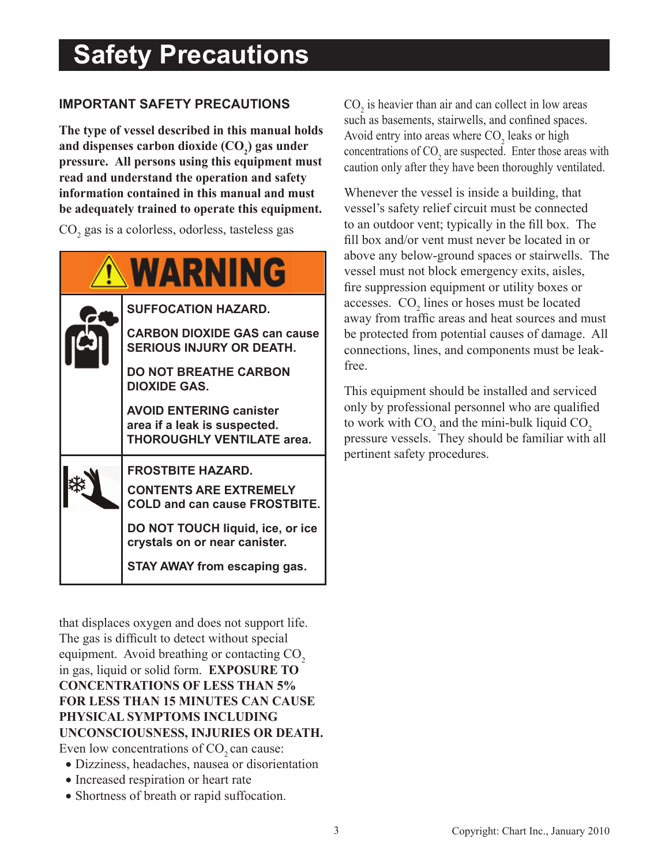### **Safety Precautions**

#### **IMPORTANT SAFETY PRECAUTIONS**

**The type of vessel described in this manual holds and dispenses carbon dioxide (CO<sup>2</sup> ) gas under pressure. All persons using this equipment must read and understand the operation and safety information contained in this manual and must be adequately trained to operate this equipment.**

CO<sub>2</sub> gas is a colorless, odorless, tasteless gas



that displaces oxygen and does not support life. The gas is difficult to detect without special equipment. Avoid breathing or contacting CO<sub>2</sub> in gas, liquid or solid form. **EXPOSURE TO CONCENTRATIONS OF LESS THAN 5% FOR LESS THAN 15 MINUTES CAN CAUSE PHYSICAL SYMPTOMS INCLUDING UNCONSCIOUSNESS, INJURIES OR DEATH.**  Even low concentrations of  $CO<sub>2</sub>$  can cause:

- Dizziness, headaches, nausea or disorientation
- Increased respiration or heart rate
- Shortness of breath or rapid suffocation.

 $CO<sub>2</sub>$  is heavier than air and can collect in low areas such as basements, stairwells, and confined spaces. Avoid entry into areas where  $CO<sub>2</sub>$  leaks or high concentrations of  $CO_2$  are suspected. Enter those areas with caution only after they have been thoroughly ventilated.

Whenever the vessel is inside a building, that vessel's safety relief circuit must be connected to an outdoor vent; typically in the fill box. The fill box and/or vent must never be located in or above any below-ground spaces or stairwells. The vessel must not block emergency exits, aisles, fire suppression equipment or utility boxes or accesses.  $CO<sub>2</sub>$  lines or hoses must be located away from traffic areas and heat sources and must be protected from potential causes of damage. All connections, lines, and components must be leakfree.

This equipment should be installed and serviced only by professional personnel who are qualified to work with  $CO_2$  and the mini-bulk liquid  $CO_2$ pressure vessels. They should be familiar with all pertinent safety procedures.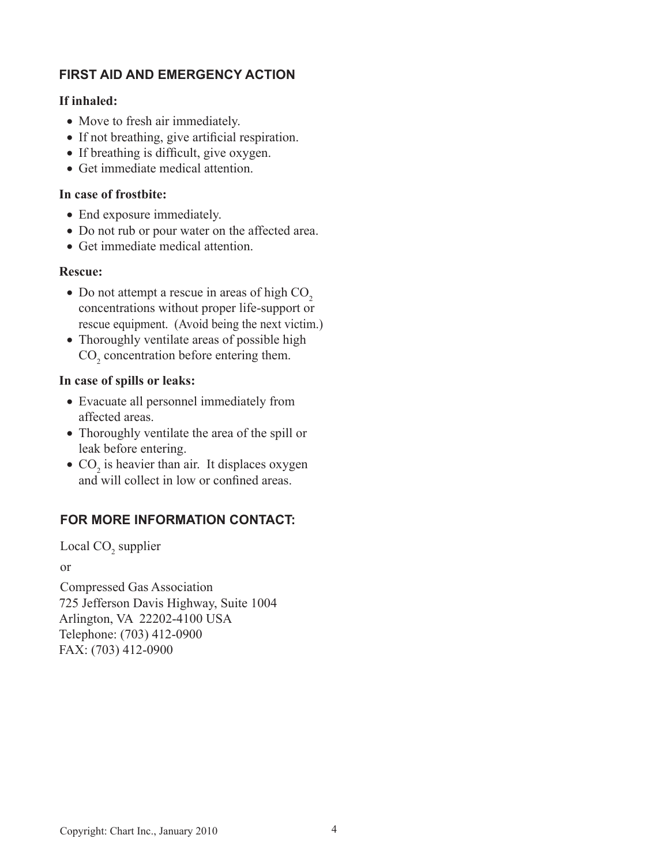#### **FIRST AID AND EMERGENCY ACTION**

#### **If inhaled:**

- Move to fresh air immediately.
- If not breathing, give artificial respiration.
- If breathing is difficult, give oxygen.
- Get immediate medical attention.

#### **In case of frostbite:**

- End exposure immediately.
- Do not rub or pour water on the affected area.
- Get immediate medical attention.

#### **Rescue:**

- Do not attempt a rescue in areas of high  $CO<sub>2</sub>$  concentrations without proper life-support or rescue equipment. (Avoid being the next victim.)
- Thoroughly ventilate areas of possible high  $CO<sub>2</sub>$  concentration before entering them.

#### **In case of spills or leaks:**

- Evacuate all personnel immediately from affected areas.
- Thoroughly ventilate the area of the spill or leak before entering.
- $CO<sub>2</sub>$  is heavier than air. It displaces oxygen and will collect in low or confined areas.

#### **FOR MORE INFORMATION CONTACT:**

Local CO<sub>2</sub> supplier

or

Compressed Gas Association 725 Jefferson Davis Highway, Suite 1004 Arlington, VA 22202-4100 USA Telephone: (703) 412-0900 FAX: (703) 412-0900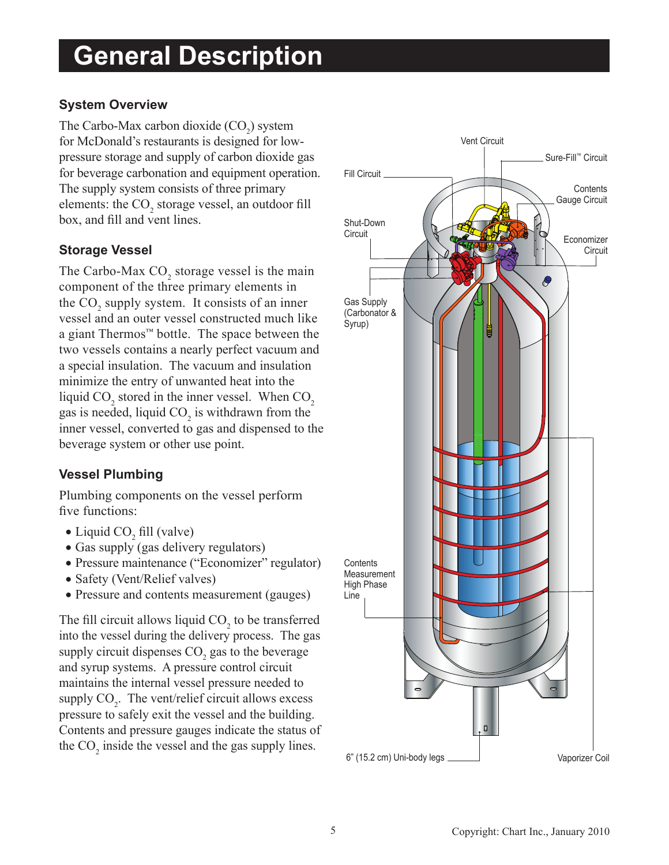### **General Description**

#### **System Overview**

The Carbo-Max carbon dioxide  $(CO_2)$  system for McDonald's restaurants is designed for lowpressure storage and supply of carbon dioxide gas for beverage carbonation and equipment operation. The supply system consists of three primary elements: the  $CO_2$  storage vessel, an outdoor fill box, and fill and vent lines.

#### **Storage Vessel**

The Carbo-Max  $CO_2$  storage vessel is the main component of the three primary elements in the  $CO_2$  supply system. It consists of an inner vessel and an outer vessel constructed much like a giant Thermos™ bottle. The space between the two vessels contains a nearly perfect vacuum and a special insulation. The vacuum and insulation minimize the entry of unwanted heat into the liquid  $CO_2$  stored in the inner vessel. When  $CO_2$ gas is needed, liquid  $CO_2$  is withdrawn from the inner vessel, converted to gas and dispensed to the beverage system or other use point.

#### **Vessel Plumbing**

Plumbing components on the vessel perform five functions:

- Liquid  $CO<sub>2</sub>$  fill (valve)
- Gas supply (gas delivery regulators)
- Pressure maintenance ("Economizer" regulator)
- Safety (Vent/Relief valves)
- Pressure and contents measurement (gauges)

The fill circuit allows liquid  $CO<sub>2</sub>$  to be transferred into the vessel during the delivery process. The gas supply circuit dispenses  $CO_2$  gas to the beverage and syrup systems. A pressure control circuit maintains the internal vessel pressure needed to supply  $CO_2$ . The vent/relief circuit allows excess pressure to safely exit the vessel and the building. Contents and pressure gauges indicate the status of the  $CO<sub>2</sub>$  inside the vessel and the gas supply lines.

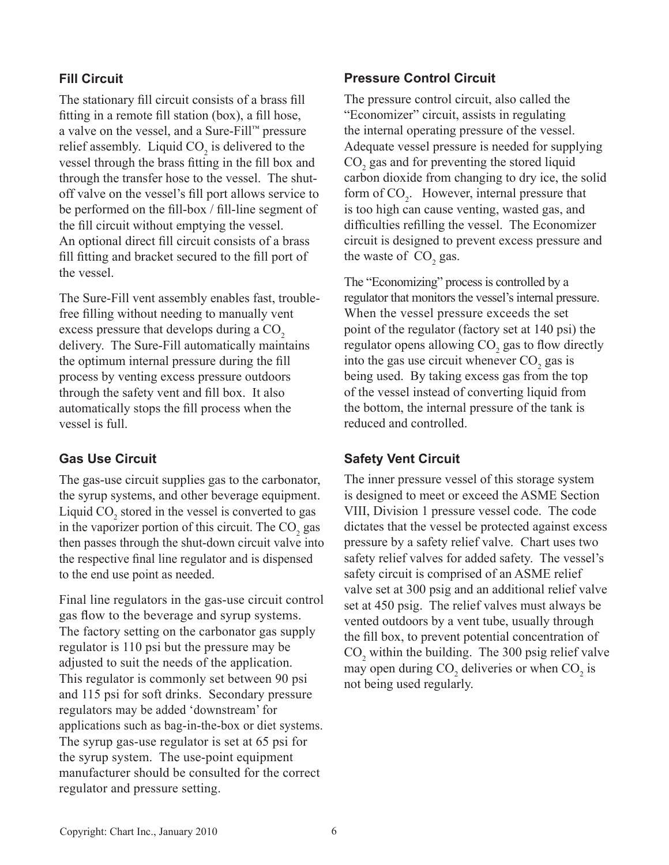#### **Fill Circuit**

The stationary fill circuit consists of a brass fill fitting in a remote fill station (box), a fill hose, a valve on the vessel, and a Sure-Fill™ pressure relief assembly. Liquid  $CO<sub>2</sub>$  is delivered to the vessel through the brass fitting in the fill box and through the transfer hose to the vessel. The shutoff valve on the vessel's fill port allows service to be performed on the fill-box / fill-line segment of the fill circuit without emptying the vessel. An optional direct fill circuit consists of a brass fill fitting and bracket secured to the fill port of the vessel.

The Sure-Fill vent assembly enables fast, troublefree filling without needing to manually vent excess pressure that develops during a CO<sub>2</sub> delivery. The Sure-Fill automatically maintains the optimum internal pressure during the fill process by venting excess pressure outdoors through the safety vent and fill box. It also automatically stops the fill process when the vessel is full.

#### **Gas Use Circuit**

The gas-use circuit supplies gas to the carbonator, the syrup systems, and other beverage equipment. Liquid  $CO_2$  stored in the vessel is converted to gas in the vaporizer portion of this circuit. The  $CO<sub>2</sub>$  gas then passes through the shut-down circuit valve into the respective final line regulator and is dispensed to the end use point as needed.

Final line regulators in the gas-use circuit control gas flow to the beverage and syrup systems. The factory setting on the carbonator gas supply regulator is 110 psi but the pressure may be adjusted to suit the needs of the application. This regulator is commonly set between 90 psi and 115 psi for soft drinks. Secondary pressure regulators may be added 'downstream' for applications such as bag-in-the-box or diet systems. The syrup gas-use regulator is set at 65 psi for the syrup system. The use-point equipment manufacturer should be consulted for the correct regulator and pressure setting.

#### **Pressure Control Circuit**

The pressure control circuit, also called the "Economizer" circuit, assists in regulating the internal operating pressure of the vessel. Adequate vessel pressure is needed for supplying  $CO<sub>2</sub>$  gas and for preventing the stored liquid carbon dioxide from changing to dry ice, the solid form of  $CO<sub>2</sub>$ . However, internal pressure that is too high can cause venting, wasted gas, and difficulties refilling the vessel. The Economizer circuit is designed to prevent excess pressure and the waste of  $CO<sub>2</sub>$  gas.

The "Economizing" process is controlled by a regulator that monitors the vessel's internal pressure. When the vessel pressure exceeds the set point of the regulator (factory set at 140 psi) the regulator opens allowing  $CO_2$  gas to flow directly into the gas use circuit whenever  $CO<sub>2</sub>$  gas is being used. By taking excess gas from the top of the vessel instead of converting liquid from the bottom, the internal pressure of the tank is reduced and controlled.

#### **Safety Vent Circuit**

The inner pressure vessel of this storage system is designed to meet or exceed the ASME Section VIII, Division 1 pressure vessel code. The code dictates that the vessel be protected against excess pressure by a safety relief valve. Chart uses two safety relief valves for added safety. The vessel's safety circuit is comprised of an ASME relief valve set at 300 psig and an additional relief valve set at 450 psig. The relief valves must always be vented outdoors by a vent tube, usually through the fill box, to prevent potential concentration of  $CO<sub>2</sub>$  within the building. The 300 psig relief valve may open during  $CO_2$  deliveries or when  $CO_2$  is not being used regularly.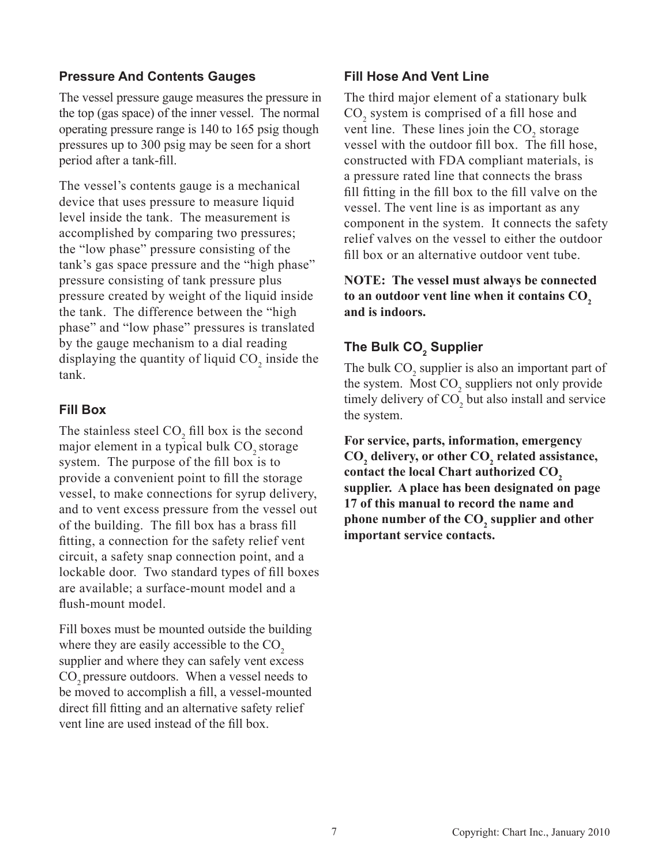#### **Pressure And Contents Gauges**

The vessel pressure gauge measures the pressure in the top (gas space) of the inner vessel. The normal operating pressure range is 140 to 165 psig though pressures up to 300 psig may be seen for a short period after a tank-fill.

The vessel's contents gauge is a mechanical device that uses pressure to measure liquid level inside the tank. The measurement is accomplished by comparing two pressures; the "low phase" pressure consisting of the tank's gas space pressure and the "high phase" pressure consisting of tank pressure plus pressure created by weight of the liquid inside the tank. The difference between the "high phase" and "low phase" pressures is translated by the gauge mechanism to a dial reading displaying the quantity of liquid  $CO_2$  inside the tank.

#### **Fill Box**

The stainless steel  $CO<sub>2</sub>$  fill box is the second major element in a typical bulk CO<sub>2</sub> storage system. The purpose of the fill box is to provide a convenient point to fill the storage vessel, to make connections for syrup delivery, and to vent excess pressure from the vessel out of the building. The fill box has a brass fill fitting, a connection for the safety relief vent circuit, a safety snap connection point, and a lockable door. Two standard types of fill boxes are available; a surface-mount model and a flush-mount model.

Fill boxes must be mounted outside the building where they are easily accessible to the  $CO<sub>2</sub>$ supplier and where they can safely vent excess CO<sub>2</sub> pressure outdoors. When a vessel needs to be moved to accomplish a fill, a vessel-mounted direct fill fitting and an alternative safety relief vent line are used instead of the fill box.

#### **Fill Hose And Vent Line**

The third major element of a stationary bulk  $CO<sub>2</sub>$  system is comprised of a fill hose and vent line. These lines join the  $CO_2$  storage vessel with the outdoor fill box. The fill hose, constructed with FDA compliant materials, is a pressure rated line that connects the brass fill fitting in the fill box to the fill valve on the vessel. The vent line is as important as any component in the system. It connects the safety relief valves on the vessel to either the outdoor fill box or an alternative outdoor vent tube.

#### **NOTE: The vessel must always be connected to an outdoor vent line when it contains CO<sup>2</sup> and is indoors.**

#### **The Bulk CO<sup>2</sup> Supplier**

The bulk  $CO_2$  supplier is also an important part of the system. Most  $CO_2$  suppliers not only provide timely delivery of  $CO<sub>2</sub>$  but also install and service the system.

**For service, parts, information, emergency CO<sup>2</sup> delivery, or other CO<sup>2</sup> related assistance, contact the local Chart authorized CO<sup>2</sup> supplier. A place has been designated on page 17 of this manual to record the name and phone number of the CO<sup>2</sup> supplier and other important service contacts.**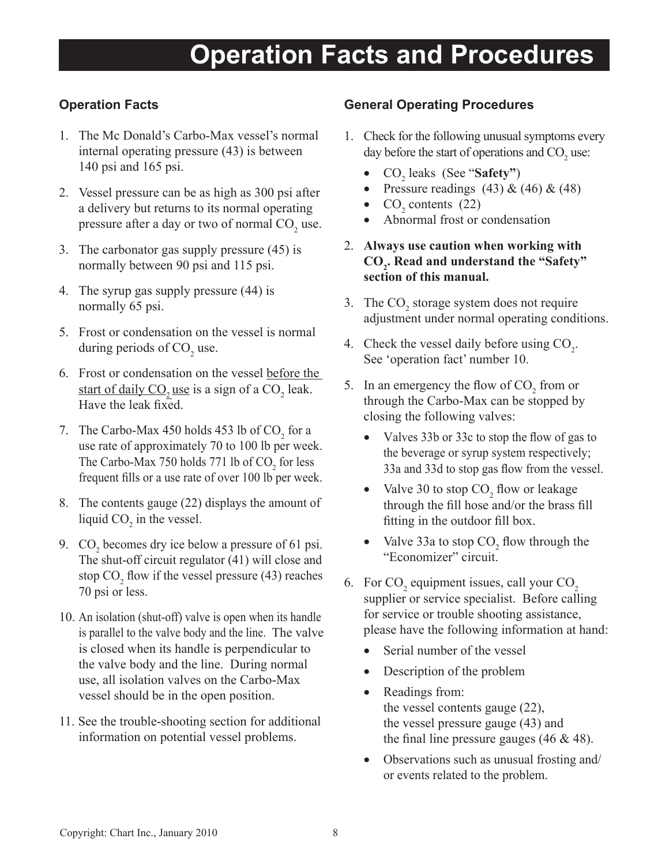### **Operation Facts and Procedures**

#### **Operation Facts**

- 1. The Mc Donald's Carbo-Max vessel's normal internal operating pressure (43) is between 140 psi and 165 psi.
- 2. Vessel pressure can be as high as 300 psi after a delivery but returns to its normal operating pressure after a day or two of normal  $CO<sub>2</sub>$  use.
- 3. The carbonator gas supply pressure (45) is normally between 90 psi and 115 psi.
- 4. The syrup gas supply pressure (44) is normally 65 psi.
- 5. Frost or condensation on the vessel is normal during periods of  $CO<sub>2</sub>$  use.
- 6. Frost or condensation on the vessel before the start of daily  $CO_2$  use is a sign of a  $CO_2$  leak. Have the leak fixed.
- 7. The Carbo-Max 450 holds 453 lb of  $CO_2$  for a use rate of approximately 70 to 100 lb per week. The Carbo-Max 750 holds 771 lb of  $CO_2$  for less frequent fills or a use rate of over 100 lb per week.
- 8. The contents gauge (22) displays the amount of liquid  $CO<sub>2</sub>$  in the vessel.
- 9.  $CO<sub>2</sub>$  becomes dry ice below a pressure of 61 psi. The shut-off circuit regulator (41) will close and stop  $CO_2$  flow if the vessel pressure (43) reaches 70 psi or less.
- 10. An isolation (shut-off) valve is open when its handle is parallel to the valve body and the line. The valve is closed when its handle is perpendicular to the valve body and the line. During normal use, all isolation valves on the Carbo-Max vessel should be in the open position.
- 11. See the trouble-shooting section for additional information on potential vessel problems.

#### **General Operating Procedures**

- 1. Check for the following unusual symptoms every day before the start of operations and  $CO<sub>2</sub>$  use:
	- CO<sub>2</sub> leaks (See "**Safety"**)
	- Pressure readings  $(43)$  &  $(46)$  &  $(48)$
	- $CO_2$  contents (22)
	- Abnormal frost or condensation
- 2. **Always use caution when working with CO<sup>2</sup> . Read and understand the "Safety" section of this manual.**
- 3. The  $CO<sub>2</sub>$  storage system does not require adjustment under normal operating conditions.
- 4. Check the vessel daily before using  $CO<sub>2</sub>$ . See 'operation fact' number 10.
- 5. In an emergency the flow of  $CO_2$  from or through the Carbo-Max can be stopped by closing the following valves:
	- Valves 33b or 33c to stop the flow of gas to the beverage or syrup system respectively; 33a and 33d to stop gas flow from the vessel.
	- Valve 30 to stop  $CO_2$  flow or leakage through the fill hose and/or the brass fill fitting in the outdoor fill box.
	- Valve 33a to stop  $CO_2$  flow through the "Economizer" circuit.
- 6. For  $CO_2$  equipment issues, call your  $CO_2$ supplier or service specialist. Before calling for service or trouble shooting assistance, please have the following information at hand:
	- Serial number of the vessel
	- Description of the problem
	- Readings from: the vessel contents gauge (22), the vessel pressure gauge (43) and the final line pressure gauges  $(46 \& 48)$ .
	- Observations such as unusual frosting and/ or events related to the problem.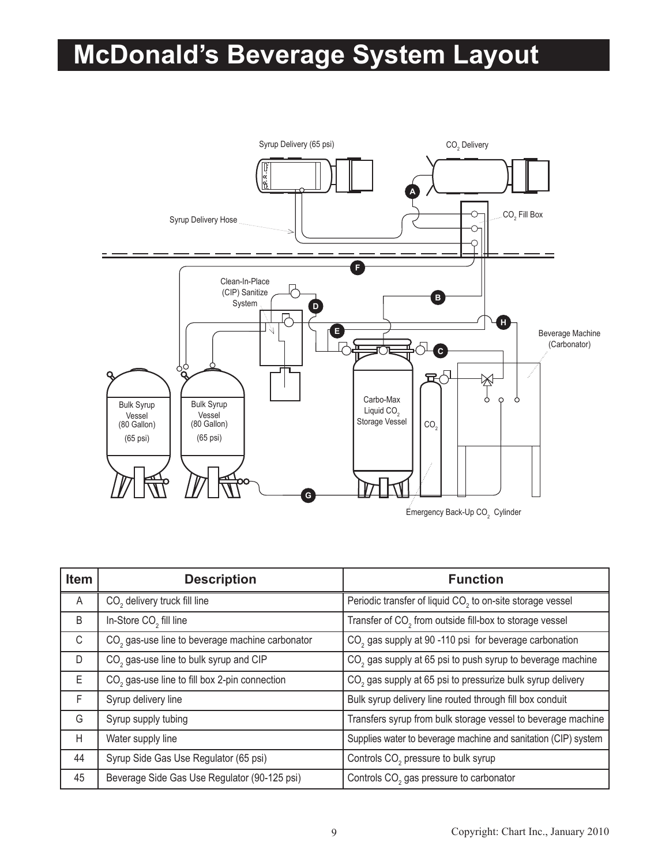# **McDonald's Beverage System Layout**



| Item | <b>Description</b>                                          | <b>Function</b>                                                        |
|------|-------------------------------------------------------------|------------------------------------------------------------------------|
| A    | CO <sub>2</sub> delivery truck fill line                    | Periodic transfer of liquid CO <sub>2</sub> to on-site storage vessel  |
| B    | In-Store CO <sub>2</sub> fill line                          | Transfer of CO <sub>2</sub> from outside fill-box to storage vessel    |
| C    | CO <sub>2</sub> gas-use line to beverage machine carbonator | CO <sub>2</sub> gas supply at 90 -110 psi for beverage carbonation     |
| D    | CO <sub>2</sub> gas-use line to bulk syrup and CIP          | CO <sub>2</sub> gas supply at 65 psi to push syrup to beverage machine |
| E.   | CO <sub>2</sub> gas-use line to fill box 2-pin connection   | CO <sub>2</sub> gas supply at 65 psi to pressurize bulk syrup delivery |
| F    | Syrup delivery line                                         | Bulk syrup delivery line routed through fill box conduit               |
| G    | Syrup supply tubing                                         | Transfers syrup from bulk storage vessel to beverage machine           |
| H    | Water supply line                                           | Supplies water to beverage machine and sanitation (CIP) system         |
| 44   | Syrup Side Gas Use Regulator (65 psi)                       | Controls CO <sub>2</sub> pressure to bulk syrup                        |
| 45   | Beverage Side Gas Use Regulator (90-125 psi)                | Controls CO <sub>2</sub> gas pressure to carbonator                    |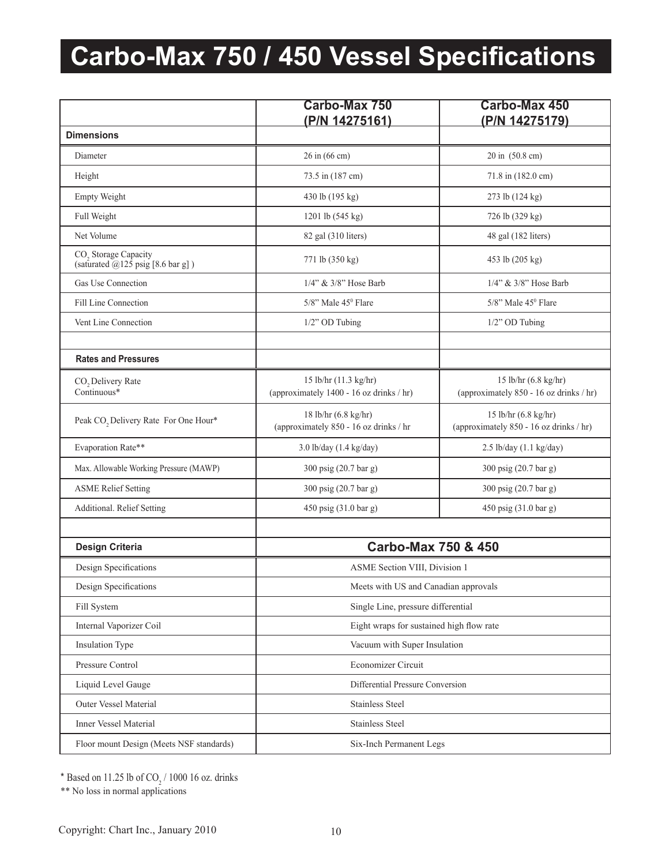# **Carbo-Max 750 / 450 Vessel Specifications**

|                                                                                     | Carbo-Max 750<br>(P/N 14275161)                                   | <b>Carbo-Max 450</b><br>(P/N 14275179)                          |  |
|-------------------------------------------------------------------------------------|-------------------------------------------------------------------|-----------------------------------------------------------------|--|
| <b>Dimensions</b>                                                                   |                                                                   |                                                                 |  |
| Diameter                                                                            | 26 in (66 cm)                                                     | 20 in (50.8 cm)                                                 |  |
| Height                                                                              | 73.5 in (187 cm)                                                  | 71.8 in (182.0 cm)                                              |  |
| <b>Empty Weight</b>                                                                 | 430 lb (195 kg)                                                   | 273 lb (124 kg)                                                 |  |
| Full Weight                                                                         | 1201 lb (545 kg)                                                  | 726 lb (329 kg)                                                 |  |
| Net Volume                                                                          | 82 gal (310 liters)                                               | 48 gal (182 liters)                                             |  |
| CO <sub>,</sub> Storage Capacity<br>(saturated $\bar{\omega}$ 125 psig [8.6 bar g]) | 771 lb (350 kg)                                                   | 453 lb (205 kg)                                                 |  |
| Gas Use Connection                                                                  | 1/4" & 3/8" Hose Barb                                             | $1/4$ " & $3/8$ " Hose Barb                                     |  |
| Fill Line Connection                                                                | 5/8" Male 45 <sup>0</sup> Flare                                   | $5/8$ " Male $45^{\circ}$ Flare                                 |  |
| Vent Line Connection                                                                | 1/2" OD Tubing                                                    | 1/2" OD Tubing                                                  |  |
|                                                                                     |                                                                   |                                                                 |  |
| <b>Rates and Pressures</b>                                                          |                                                                   |                                                                 |  |
| CO <sub>2</sub> Delivery Rate<br>Continuous*                                        | 15 lb/hr (11.3 kg/hr)<br>(approximately 1400 - 16 oz drinks / hr) | 15 lb/hr (6.8 kg/hr)<br>(approximately 850 - 16 oz drinks / hr) |  |
| Peak CO, Delivery Rate For One Hour*                                                | 18 lb/hr (6.8 kg/hr)<br>(approximately 850 - 16 oz drinks / hr    | 15 lb/hr (6.8 kg/hr)<br>(approximately 850 - 16 oz drinks / hr) |  |
| Evaporation Rate**                                                                  | 3.0 lb/day (1.4 kg/day)                                           | $2.5$ lb/day $(1.1 \text{ kg/day})$                             |  |
| Max. Allowable Working Pressure (MAWP)                                              | 300 psig (20.7 bar g)                                             | 300 psig (20.7 bar g)                                           |  |
| <b>ASME Relief Setting</b>                                                          | 300 psig (20.7 bar g)                                             | 300 psig (20.7 bar g)                                           |  |
| Additional. Relief Setting                                                          | 450 psig (31.0 bar g)                                             | 450 psig (31.0 bar g)                                           |  |
|                                                                                     |                                                                   |                                                                 |  |
| <b>Design Criteria</b>                                                              | <b>Carbo-Max 750 &amp; 450</b>                                    |                                                                 |  |
| Design Specifications                                                               | ASME Section VIII, Division 1                                     |                                                                 |  |
| Design Specifications                                                               | Meets with US and Canadian approvals                              |                                                                 |  |
| Fill System                                                                         | Single Line, pressure differential                                |                                                                 |  |
| Internal Vaporizer Coil                                                             | Eight wraps for sustained high flow rate                          |                                                                 |  |
| Insulation Type                                                                     | Vacuum with Super Insulation                                      |                                                                 |  |
| Pressure Control                                                                    | Economizer Circuit                                                |                                                                 |  |
| Liquid Level Gauge                                                                  | Differential Pressure Conversion                                  |                                                                 |  |
| Outer Vessel Material                                                               | <b>Stainless Steel</b>                                            |                                                                 |  |
| Inner Vessel Material                                                               | <b>Stainless Steel</b>                                            |                                                                 |  |
| Floor mount Design (Meets NSF standards)                                            | Six-Inch Permanent Legs                                           |                                                                 |  |

\* Based on 11.25 lb of  $CO_2/1000$  16 oz. drinks

\*\* No loss in normal applications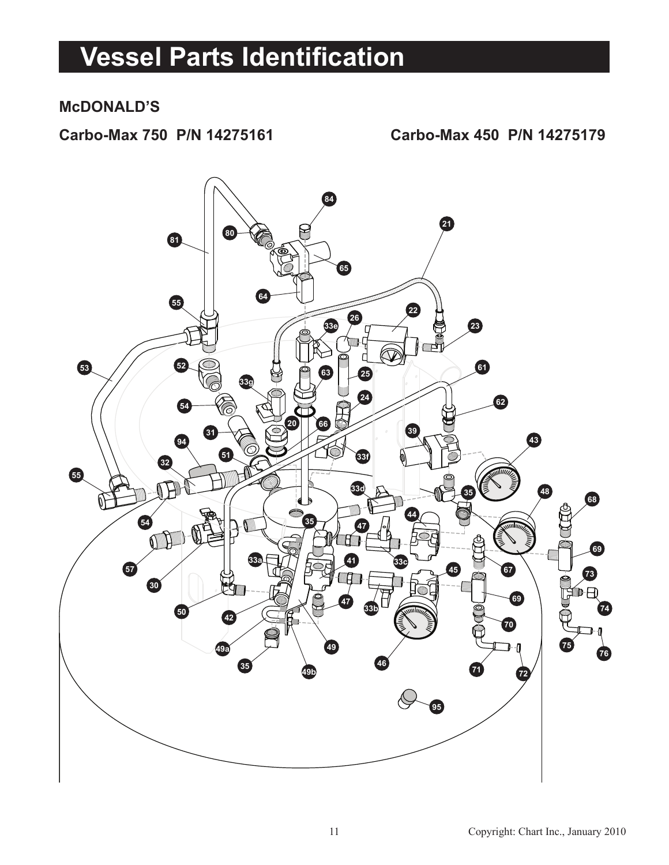### **Vessel Parts Identification**

#### **McDONALD'S**

**Carbo-Max 750 P/N 14275161 Carbo-Max 450 P/N 14275179**

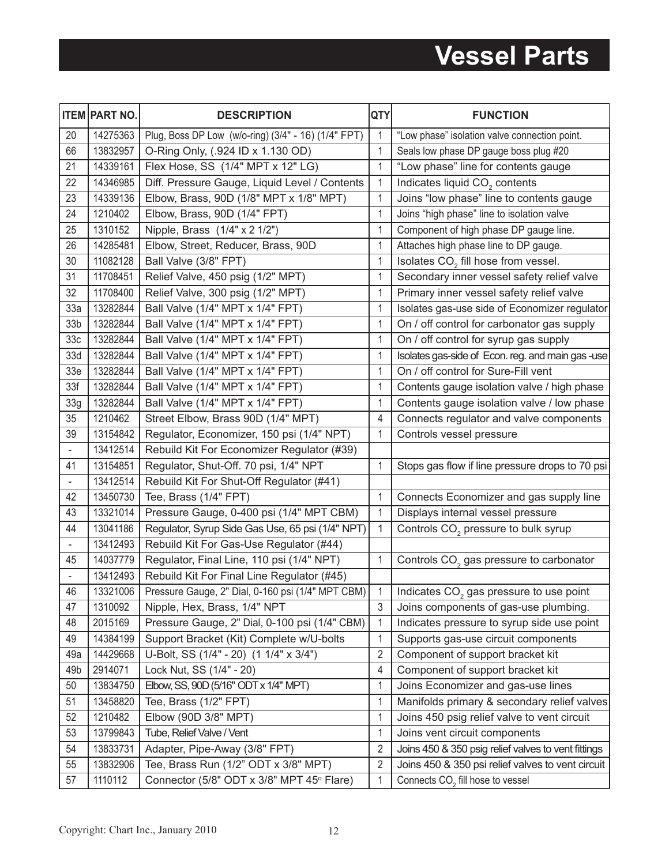## **Vessel Parts**

|                          | <b>ITEM PART NO.</b> | <b>DESCRIPTION</b>                                  | <b>QTY</b>     | <b>FUNCTION</b>                                     |  |
|--------------------------|----------------------|-----------------------------------------------------|----------------|-----------------------------------------------------|--|
| 20                       | 14275363             | Plug, Boss DP Low (w/o-ring) (3/4" - 16) (1/4" FPT) | 1              | "Low phase" isolation valve connection point.       |  |
| 66                       | 13832957             | O-Ring Only, (.924 ID x 1.130 OD)                   | 1              | Seals low phase DP gauge boss plug #20              |  |
| 21                       | 14339161             | Flex Hose, SS (1/4" MPT x 12" LG)                   | $\mathbf{1}$   | "Low phase" line for contents gauge                 |  |
| 22                       | 14346985             | Diff. Pressure Gauge, Liquid Level / Contents       | $\mathbf 1$    | Indicates liquid CO <sub>2</sub> contents           |  |
| 23                       | 14339136             | Elbow, Brass, 90D (1/8" MPT x 1/8" MPT)             | 1              | Joins "low phase" line to contents gauge            |  |
| 24                       | 1210402              | Elbow, Brass, 90D (1/4" FPT)                        | 1              | Joins "high phase" line to isolation valve          |  |
| 25                       | 1310152              | Nipple, Brass (1/4" x 2 1/2")                       | 1              | Component of high phase DP gauge line.              |  |
| 26                       | 14285481             | Elbow, Street, Reducer, Brass, 90D                  | 1              | Attaches high phase line to DP gauge.               |  |
| 30                       | 11082128             | Ball Valve (3/8" FPT)                               | 1              | Isolates CO <sub>2</sub> fill hose from vessel.     |  |
| 31                       | 11708451             | Relief Valve, 450 psig (1/2" MPT)                   | 1              | Secondary inner vessel safety relief valve          |  |
| 32                       | 11708400             | Relief Valve, 300 psig (1/2" MPT)                   | 1              | Primary inner vessel safety relief valve            |  |
| 33a                      | 13282844             | Ball Valve (1/4" MPT x 1/4" FPT)                    | 1              | Isolates gas-use side of Economizer regulator       |  |
| 33 <sub>b</sub>          | 13282844             | Ball Valve (1/4" MPT x 1/4" FPT)                    | 1              | On / off control for carbonator gas supply          |  |
| 33 <sub>c</sub>          | 13282844             | Ball Valve (1/4" MPT x 1/4" FPT)                    | 1              | On / off control for syrup gas supply               |  |
| 33d                      | 13282844             | Ball Valve (1/4" MPT x 1/4" FPT)                    | 1              | Isolates gas-side of Econ. reg. and main gas -use   |  |
| 33 <sub>e</sub>          | 13282844             | Ball Valve (1/4" MPT x 1/4" FPT)                    | 1              | On / off control for Sure-Fill vent                 |  |
| 33f                      | 13282844             | Ball Valve (1/4" MPT x 1/4" FPT)                    | 1              | Contents gauge isolation valve / high phase         |  |
| 33g                      | 13282844             | Ball Valve (1/4" MPT x 1/4" FPT)                    | 1              | Contents gauge isolation valve / low phase          |  |
| 35                       | 1210462              | Street Elbow, Brass 90D (1/4" MPT)                  | 4              | Connects regulator and valve components             |  |
| 39                       | 13154842             | Regulator, Economizer, 150 psi (1/4" NPT)           | 1              | Controls vessel pressure                            |  |
| $\Box$                   | 13412514             | Rebuild Kit For Economizer Regulator (#39)          |                |                                                     |  |
| 41                       | 13154851             | Regulator, Shut-Off. 70 psi, 1/4" NPT               | 1              | Stops gas flow if line pressure drops to 70 psi     |  |
| $\overline{\phantom{a}}$ | 13412514             | Rebuild Kit For Shut-Off Regulator (#41)            |                |                                                     |  |
| 42                       | 13450730             | Tee, Brass (1/4" FPT)                               | 1              | Connects Economizer and gas supply line             |  |
| 43                       | 13321014             | Pressure Gauge, 0-400 psi (1/4" MPT CBM)            | 1              | Displays internal vessel pressure                   |  |
| 44                       | 13041186             | Regulator, Syrup Side Gas Use, 65 psi (1/4" NPT)    | 1              | Controls CO <sub>2</sub> pressure to bulk syrup     |  |
| $\overline{\phantom{a}}$ | 13412493             | Rebuild Kit For Gas-Use Regulator (#44)             |                |                                                     |  |
| 45                       | 14037779             | Regulator, Final Line, 110 psi (1/4" NPT)           | 1              | Controls CO <sub>2</sub> gas pressure to carbonator |  |
|                          | 13412493             | Rebuild Kit For Final Line Regulator (#45)          |                |                                                     |  |
| 46                       | 13321006             | Pressure Gauge, 2" Dial, 0-160 psi (1/4" MPT CBM)   | 1              | Indicates $CO2$ gas pressure to use point           |  |
| 47                       | 1310092              | Nipple, Hex, Brass, 1/4" NPT                        | 3              | Joins components of gas-use plumbing.               |  |
| 48                       | 2015169              | Pressure Gauge, 2" Dial, 0-100 psi (1/4" CBM)       | 1              | Indicates pressure to syrup side use point          |  |
| 49                       | 14384199             | Support Bracket (Kit) Complete w/U-bolts            | $\mathbf{1}$   | Supports gas-use circuit components                 |  |
| 49a                      | 14429668             | U-Bolt, SS (1/4" - 20) (1 1/4" x 3/4")              | 2              | Component of support bracket kit                    |  |
| 49b                      | 2914071              | Lock Nut, SS (1/4" - 20)                            | 4              | Component of support bracket kit                    |  |
| 50                       | 13834750             | Elbow, SS, 90D (5/16" ODT x 1/4" MPT)               | 1              | Joins Economizer and gas-use lines                  |  |
| 51                       | 13458820             | Tee, Brass (1/2" FPT)                               | 1              | Manifolds primary & secondary relief valves         |  |
| 52                       | 1210482              | Elbow (90D 3/8" MPT)                                | 1              | Joins 450 psig relief valve to vent circuit         |  |
| 53                       | 13799843             | Tube, Relief Valve / Vent                           | 1              | Joins vent circuit components                       |  |
| 54                       | 13833731             | Adapter, Pipe-Away (3/8" FPT)                       | 2              | Joins 450 & 350 psig relief valves to vent fittings |  |
| 55                       | 13832906             | Tee, Brass Run (1/2" ODT x 3/8" MPT)                | $\overline{2}$ | Joins 450 & 350 psi relief valves to vent circuit   |  |
| 57                       | 1110112              | Connector (5/8" ODT x 3/8" MPT 45° Flare)           | 1              | Connects CO <sub>2</sub> fill hose to vessel        |  |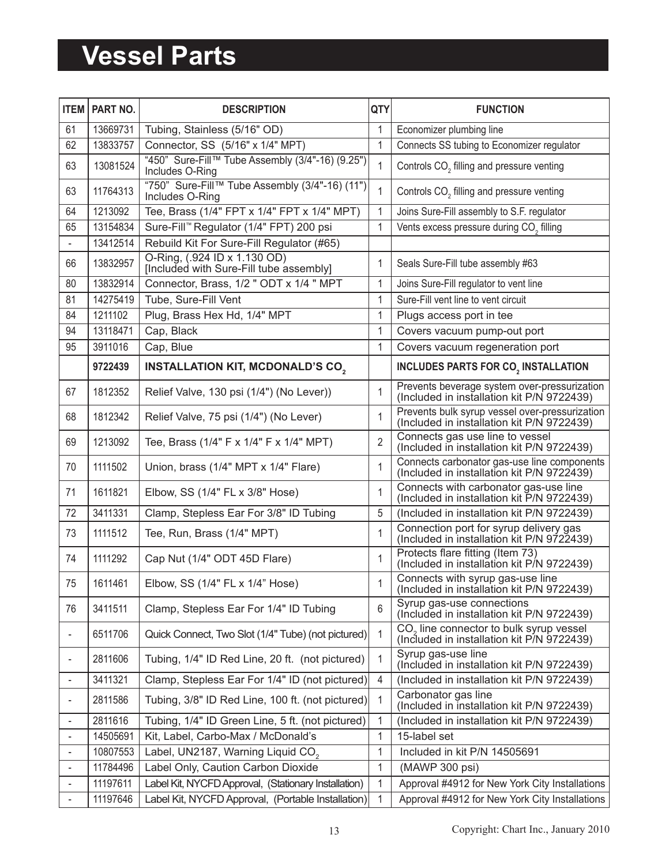### **Vessel Parts**

| <b>ITEM</b>              | PART NO. | <b>DESCRIPTION</b>                                                      | QTY          | <b>FUNCTION</b>                                                                                   |  |
|--------------------------|----------|-------------------------------------------------------------------------|--------------|---------------------------------------------------------------------------------------------------|--|
| 61                       | 13669731 | Tubing, Stainless (5/16" OD)                                            | 1            | Economizer plumbing line                                                                          |  |
| 62                       | 13833757 | Connector, SS (5/16" x 1/4" MPT)                                        | $\mathbf{1}$ | Connects SS tubing to Economizer regulator                                                        |  |
| 63                       | 13081524 | "450" Sure-Fill™ Tube Assembly (3/4"-16) (9.25")<br>Includes O-Ring     | 1            | Controls CO <sub>2</sub> filling and pressure venting                                             |  |
| 63                       | 11764313 | "750" Sure-Fill™ Tube Assembly (3/4"-16) (11")<br>Includes O-Ring       | 1            | Controls CO <sub>2</sub> filling and pressure venting                                             |  |
| 64                       | 1213092  | Tee, Brass (1/4" FPT x 1/4" FPT x 1/4" MPT)                             | 1            | Joins Sure-Fill assembly to S.F. regulator                                                        |  |
| 65                       | 13154834 | Sure-Fill™ Regulator (1/4" FPT) 200 psi                                 | $\mathbf{1}$ | Vents excess pressure during CO <sub>2</sub> filling                                              |  |
|                          | 13412514 | Rebuild Kit For Sure-Fill Regulator (#65)                               |              |                                                                                                   |  |
| 66                       | 13832957 | O-Ring, (.924 ID x 1.130 OD)<br>[Included with Sure-Fill tube assembly] | 1            | Seals Sure-Fill tube assembly #63                                                                 |  |
| 80                       | 13832914 | Connector, Brass, 1/2 " ODT x 1/4 " MPT                                 | 1            | Joins Sure-Fill regulator to vent line                                                            |  |
| 81                       | 14275419 | Tube, Sure-Fill Vent                                                    | 1            | Sure-Fill vent line to vent circuit                                                               |  |
| 84                       | 1211102  | Plug, Brass Hex Hd, 1/4" MPT                                            | 1            | Plugs access port in tee                                                                          |  |
| 94                       | 13118471 | Cap, Black                                                              | 1            | Covers vacuum pump-out port                                                                       |  |
| 95                       | 3911016  | Cap, Blue                                                               | 1            | Covers vacuum regeneration port                                                                   |  |
|                          | 9722439  | <b>INSTALLATION KIT, MCDONALD'S CO,</b>                                 |              | <b>INCLUDES PARTS FOR CO., INSTALLATION</b>                                                       |  |
| 67                       | 1812352  | Relief Valve, 130 psi (1/4") (No Lever))                                | 1            | Prevents beverage system over-pressurization<br>(Included in installation kit P/N 9722439)        |  |
| 68                       | 1812342  | Relief Valve, 75 psi (1/4") (No Lever)                                  | 1            | Prevents bulk syrup vessel over-pressurization<br>(Included in installation kit P/N 9722439)      |  |
| 69                       | 1213092  | Tee, Brass (1/4" F x 1/4" F x 1/4" MPT)                                 | 2            | Connects gas use line to vessel<br>(Included in installation kit P/N 9722439)                     |  |
| 70                       | 1111502  | Union, brass (1/4" MPT x 1/4" Flare)                                    | 1            | Connects carbonator gas-use line components<br>(Included in installation kit P/N 9722439)         |  |
| 71                       | 1611821  | Elbow, SS (1/4" FL x 3/8" Hose)                                         | 1            | Connects with carbonator gas-use line<br>(Included in installation kit P/N 9722439)               |  |
| 72                       | 3411331  | Clamp, Stepless Ear For 3/8" ID Tubing                                  | 5            | (Included in installation kit P/N 9722439)                                                        |  |
| 73                       | 1111512  | Tee, Run, Brass (1/4" MPT)                                              | 1            | Connection port for syrup delivery gas<br>(Included in installation kit P/N 9722439)              |  |
| 74                       | 1111292  | Cap Nut (1/4" ODT 45D Flare)                                            | 1            | Protects flare fitting (Item 73)<br>(Included in installation kit P/N 9722439)                    |  |
| 75                       | 1611461  | Elbow, SS (1/4" FL x 1/4" Hose)                                         | 1            | Connects with syrup gas-use line<br>(Included in installation kit P/N 9722439)                    |  |
| 76                       | 3411511  | Clamp, Stepless Ear For 1/4" ID Tubing                                  | 6            | Syrup gas-use connections<br>(Included in installation kit P/N 9722439)                           |  |
| $\overline{\phantom{a}}$ | 6511706  | Quick Connect, Two Slot (1/4" Tube) (not pictured)                      | 1            | CO <sub>2</sub> line connector to bulk syrup vessel<br>(Included in installation kit P/N 9722439) |  |
| $\overline{\phantom{a}}$ | 2811606  | Tubing, 1/4" ID Red Line, 20 ft. (not pictured)                         | 1            | Syrup gas-use line<br>(Included in installation kit P/N 9722439)                                  |  |
|                          | 3411321  | Clamp, Stepless Ear For 1/4" ID (not pictured)                          | 4            | (Included in installation kit P/N 9722439)                                                        |  |
| $\overline{\phantom{a}}$ | 2811586  | Tubing, 3/8" ID Red Line, 100 ft. (not pictured)                        | 1            | Carbonator gas line<br>(Included in installation kit P/N 9722439)                                 |  |
| $\overline{\phantom{a}}$ | 2811616  | Tubing, 1/4" ID Green Line, 5 ft. (not pictured)                        | 1            | (Included in installation kit P/N 9722439)                                                        |  |
| $\overline{\phantom{a}}$ | 14505691 | Kit, Label, Carbo-Max / McDonald's                                      | 1            | 15-label set                                                                                      |  |
| $\overline{\phantom{a}}$ | 10807553 | Label, UN2187, Warning Liquid CO <sub>2</sub>                           | 1            | Included in kit P/N 14505691                                                                      |  |
| $\overline{\phantom{a}}$ | 11784496 | Label Only, Caution Carbon Dioxide                                      | 1            | (MAWP 300 psi)                                                                                    |  |
| $\overline{\phantom{a}}$ | 11197611 | Label Kit, NYCFD Approval, (Stationary Installation)                    | 1            | Approval #4912 for New York City Installations                                                    |  |
| $\blacksquare$           | 11197646 | Label Kit, NYCFD Approval, (Portable Installation)                      | 1            | Approval #4912 for New York City Installations                                                    |  |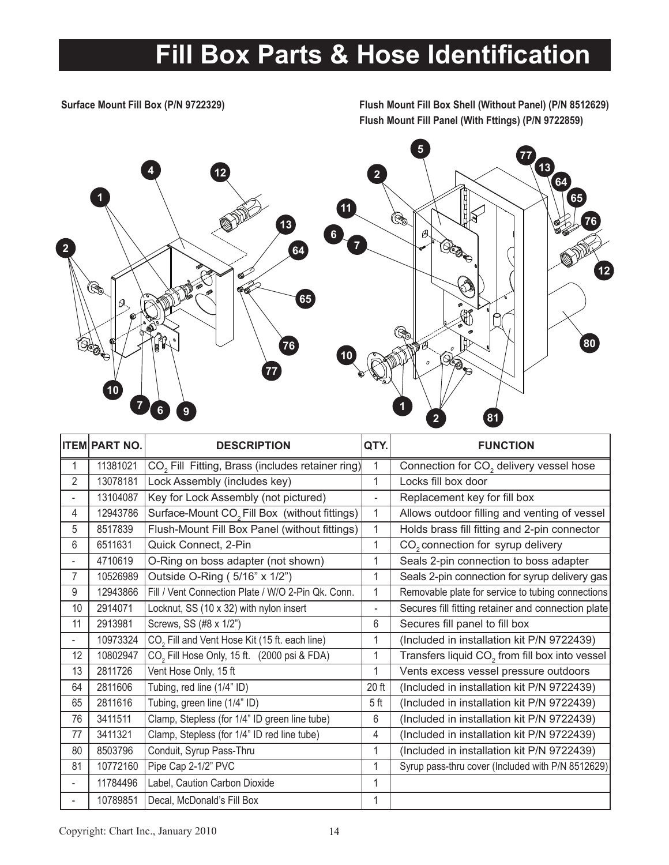### **Fill Box Parts & Hose Identification**

**Surface Mount Fill Box (P/N 9722329) Flush Mount Fill Box Shell (Without Panel) (P/N 8512629) Flush Mount Fill Panel (With Fttings) (P/N 9722859)**



|                          | <b>ITEM PART NO.</b> | <b>DESCRIPTION</b>                                           | QTY.            | <b>FUNCTION</b>                                            |  |
|--------------------------|----------------------|--------------------------------------------------------------|-----------------|------------------------------------------------------------|--|
| 1                        | 11381021             | CO <sub>2</sub> Fill Fitting, Brass (includes retainer ring) |                 | Connection for CO <sub>2</sub> delivery vessel hose        |  |
| 2                        | 13078181             | Lock Assembly (includes key)                                 | 1               | Locks fill box door                                        |  |
| $\overline{\phantom{0}}$ | 13104087             | Key for Lock Assembly (not pictured)                         |                 | Replacement key for fill box                               |  |
| 4                        | 12943786             | Surface-Mount CO <sub>2</sub> Fill Box (without fittings)    | 1               | Allows outdoor filling and venting of vessel               |  |
| 5                        | 8517839              | Flush-Mount Fill Box Panel (without fittings)                | 1               | Holds brass fill fitting and 2-pin connector               |  |
| 6                        | 6511631              | Quick Connect, 2-Pin                                         | 1               | CO <sub>2</sub> connection for syrup delivery              |  |
|                          | 4710619              | O-Ring on boss adapter (not shown)                           | 1               | Seals 2-pin connection to boss adapter                     |  |
| 7                        | 10526989             | Outside O-Ring (5/16" x 1/2")                                | 1               | Seals 2-pin connection for syrup delivery gas              |  |
| 9                        | 12943866             | Fill / Vent Connection Plate / W/O 2-Pin Qk. Conn.           | 1               | Removable plate for service to tubing connections          |  |
| 10                       | 2914071              | Locknut, SS (10 x 32) with nylon insert                      | $\blacksquare$  | Secures fill fitting retainer and connection plate         |  |
| 11                       | 2913981              | Screws, SS (#8 x 1/2")                                       | 6               | Secures fill panel to fill box                             |  |
|                          | 10973324             | CO <sub>2</sub> Fill and Vent Hose Kit (15 ft. each line)    | 1               | (Included in installation kit P/N 9722439)                 |  |
| 12                       | 10802947             | CO <sub>2</sub> Fill Hose Only, 15 ft. (2000 psi & FDA)      | 1               | Transfers liquid CO <sub>2</sub> from fill box into vessel |  |
| 13                       | 2811726              | Vent Hose Only, 15 ft                                        | 1               | Vents excess vessel pressure outdoors                      |  |
| 64                       | 2811606              | Tubing, red line (1/4" ID)                                   | 20 ft           | (Included in installation kit P/N 9722439)                 |  |
| 65                       | 2811616              | Tubing, green line (1/4" ID)                                 | 5 <sub>ft</sub> | (Included in installation kit P/N 9722439)                 |  |
| 76                       | 3411511              | Clamp, Stepless (for 1/4" ID green line tube)                | 6               | (Included in installation kit P/N 9722439)                 |  |
| 77                       | 3411321              | Clamp, Stepless (for 1/4" ID red line tube)                  | 4               | (Included in installation kit P/N 9722439)                 |  |
| 80                       | 8503796              | Conduit, Syrup Pass-Thru                                     | 1               | (Included in installation kit P/N 9722439)                 |  |
| 81                       | 10772160             | Pipe Cap 2-1/2" PVC                                          | 1               | Syrup pass-thru cover (Included with P/N 8512629)          |  |
| $\overline{\phantom{0}}$ | 11784496             | Label, Caution Carbon Dioxide                                |                 |                                                            |  |
|                          | 10789851             | Decal, McDonald's Fill Box                                   | 1               |                                                            |  |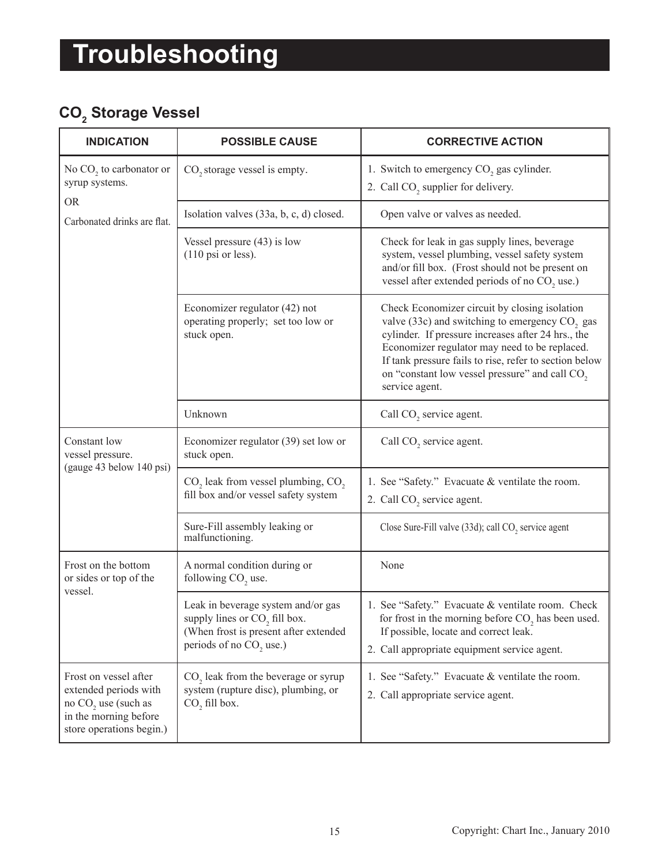### **CO<sup>2</sup> Storage Vessel**

| <b>INDICATION</b>                                                                                                            | <b>POSSIBLE CAUSE</b>                                                                                                                                           | <b>CORRECTIVE ACTION</b>                                                                                                                                                                                                                                                                                                                                     |
|------------------------------------------------------------------------------------------------------------------------------|-----------------------------------------------------------------------------------------------------------------------------------------------------------------|--------------------------------------------------------------------------------------------------------------------------------------------------------------------------------------------------------------------------------------------------------------------------------------------------------------------------------------------------------------|
| No $CO$ , to carbonator or<br>syrup systems.                                                                                 | CO <sub>2</sub> storage vessel is empty.                                                                                                                        | 1. Switch to emergency CO <sub>2</sub> gas cylinder.<br>2. Call CO <sub>2</sub> supplier for delivery.                                                                                                                                                                                                                                                       |
| <b>OR</b><br>Carbonated drinks are flat.                                                                                     | Isolation valves (33a, b, c, d) closed.                                                                                                                         | Open valve or valves as needed.                                                                                                                                                                                                                                                                                                                              |
|                                                                                                                              | Vessel pressure $(43)$ is low<br>$(110 \text{ psi or less}).$                                                                                                   | Check for leak in gas supply lines, beverage<br>system, vessel plumbing, vessel safety system<br>and/or fill box. (Frost should not be present on<br>vessel after extended periods of no CO <sub>2</sub> use.)                                                                                                                                               |
|                                                                                                                              | Economizer regulator (42) not<br>operating properly; set too low or<br>stuck open.                                                                              | Check Economizer circuit by closing isolation<br>valve (33c) and switching to emergency CO <sub>2</sub> gas<br>cylinder. If pressure increases after 24 hrs., the<br>Economizer regulator may need to be replaced.<br>If tank pressure fails to rise, refer to section below<br>on "constant low vessel pressure" and call CO <sub>2</sub><br>service agent. |
|                                                                                                                              | Unknown                                                                                                                                                         | Call CO <sub>2</sub> service agent.                                                                                                                                                                                                                                                                                                                          |
| Constant low<br>vessel pressure.                                                                                             | Economizer regulator (39) set low or<br>stuck open.                                                                                                             | Call CO <sub>2</sub> service agent.                                                                                                                                                                                                                                                                                                                          |
| (gauge 43 below 140 psi)                                                                                                     | CO <sub>2</sub> leak from vessel plumbing, CO <sub>2</sub><br>fill box and/or vessel safety system                                                              | 1. See "Safety." Evacuate & ventilate the room.<br>2. Call CO <sub>2</sub> service agent.                                                                                                                                                                                                                                                                    |
|                                                                                                                              | Sure-Fill assembly leaking or<br>malfunctioning.                                                                                                                | Close Sure-Fill valve (33d); call CO <sub>2</sub> service agent                                                                                                                                                                                                                                                                                              |
| Frost on the bottom<br>or sides or top of the<br>vessel.                                                                     | A normal condition during or<br>following CO <sub>2</sub> use.                                                                                                  | None                                                                                                                                                                                                                                                                                                                                                         |
|                                                                                                                              | Leak in beverage system and/or gas<br>supply lines or CO <sub>2</sub> fill box.<br>(When frost is present after extended<br>periods of no CO <sub>2</sub> use.) | 1. See "Safety." Evacuate & ventilate room. Check<br>for frost in the morning before $CO$ , has been used.<br>If possible, locate and correct leak.<br>2. Call appropriate equipment service agent.                                                                                                                                                          |
| Frost on vessel after<br>extended periods with<br>no $CO2$ use (such as<br>in the morning before<br>store operations begin.) | CO <sub>2</sub> leak from the beverage or syrup<br>system (rupture disc), plumbing, or<br>CO <sub>2</sub> fill box.                                             | 1. See "Safety." Evacuate & ventilate the room.<br>2. Call appropriate service agent.                                                                                                                                                                                                                                                                        |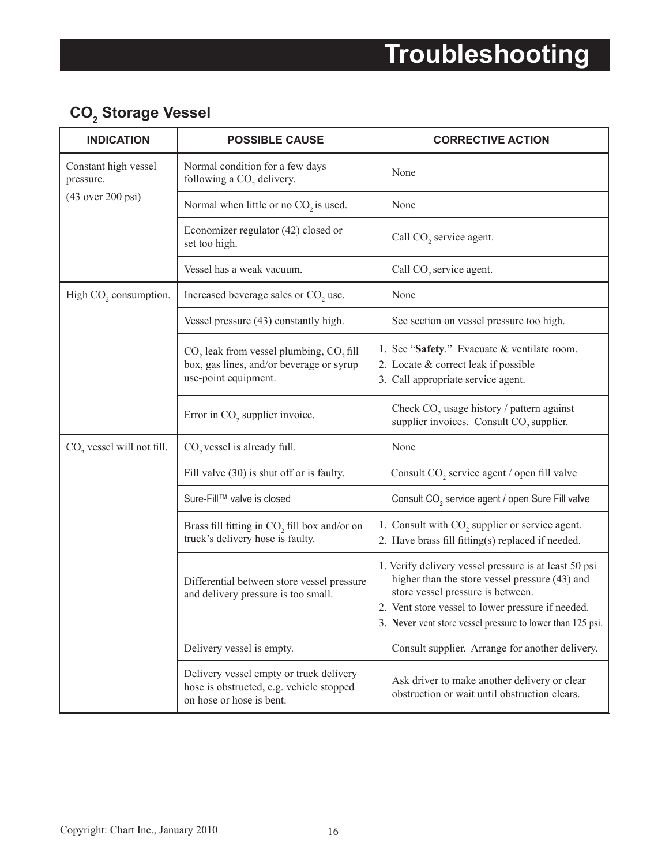### **CO<sup>2</sup> Storage Vessel**

| <b>INDICATION</b>                     | <b>POSSIBLE CAUSE</b>                                                                                                               | <b>CORRECTIVE ACTION</b>                                                                                                                                                                                                                                        |
|---------------------------------------|-------------------------------------------------------------------------------------------------------------------------------------|-----------------------------------------------------------------------------------------------------------------------------------------------------------------------------------------------------------------------------------------------------------------|
| Constant high vessel<br>pressure.     | Normal condition for a few days<br>following a CO <sub>2</sub> delivery.                                                            | None                                                                                                                                                                                                                                                            |
| $(43$ over 200 psi)                   | Normal when little or no $CO_2$ is used.                                                                                            | None                                                                                                                                                                                                                                                            |
|                                       | Economizer regulator (42) closed or<br>set too high.                                                                                | Call CO <sub>2</sub> service agent.                                                                                                                                                                                                                             |
|                                       | Vessel has a weak vacuum.                                                                                                           | Call CO <sub>2</sub> service agent.                                                                                                                                                                                                                             |
| High CO <sub>2</sub> consumption.     | Increased beverage sales or CO <sub>2</sub> use.                                                                                    | None                                                                                                                                                                                                                                                            |
|                                       | Vessel pressure (43) constantly high.                                                                                               | See section on vessel pressure too high.                                                                                                                                                                                                                        |
|                                       | CO <sub>2</sub> leak from vessel plumbing, CO <sub>2</sub> fill<br>box, gas lines, and/or beverage or syrup<br>use-point equipment. | 1. See "Safety." Evacuate & ventilate room.<br>2. Locate & correct leak if possible<br>3. Call appropriate service agent.                                                                                                                                       |
|                                       | Error in CO <sub>2</sub> supplier invoice.                                                                                          | Check $CO2$ usage history / pattern against<br>supplier invoices. Consult CO <sub>2</sub> supplier.                                                                                                                                                             |
| CO <sub>2</sub> vessel will not fill. | CO <sub>2</sub> vessel is already full.                                                                                             | None                                                                                                                                                                                                                                                            |
|                                       | Fill valve (30) is shut off or is faulty.                                                                                           | Consult CO <sub>2</sub> service agent / open fill valve                                                                                                                                                                                                         |
|                                       | Sure-Fill™ valve is closed                                                                                                          | Consult CO <sub>2</sub> service agent / open Sure Fill valve                                                                                                                                                                                                    |
|                                       | Brass fill fitting in $CO2$ fill box and/or on<br>truck's delivery hose is faulty.                                                  | 1. Consult with CO <sub>2</sub> supplier or service agent.<br>2. Have brass fill fitting(s) replaced if needed.                                                                                                                                                 |
|                                       | Differential between store vessel pressure<br>and delivery pressure is too small.                                                   | 1. Verify delivery vessel pressure is at least 50 psi<br>higher than the store vessel pressure (43) and<br>store vessel pressure is between.<br>2. Vent store vessel to lower pressure if needed.<br>3. Never vent store vessel pressure to lower than 125 psi. |
|                                       | Delivery vessel is empty.                                                                                                           | Consult supplier. Arrange for another delivery.                                                                                                                                                                                                                 |
|                                       | Delivery vessel empty or truck delivery<br>hose is obstructed, e.g. vehicle stopped<br>on hose or hose is bent.                     | Ask driver to make another delivery or clear<br>obstruction or wait until obstruction clears.                                                                                                                                                                   |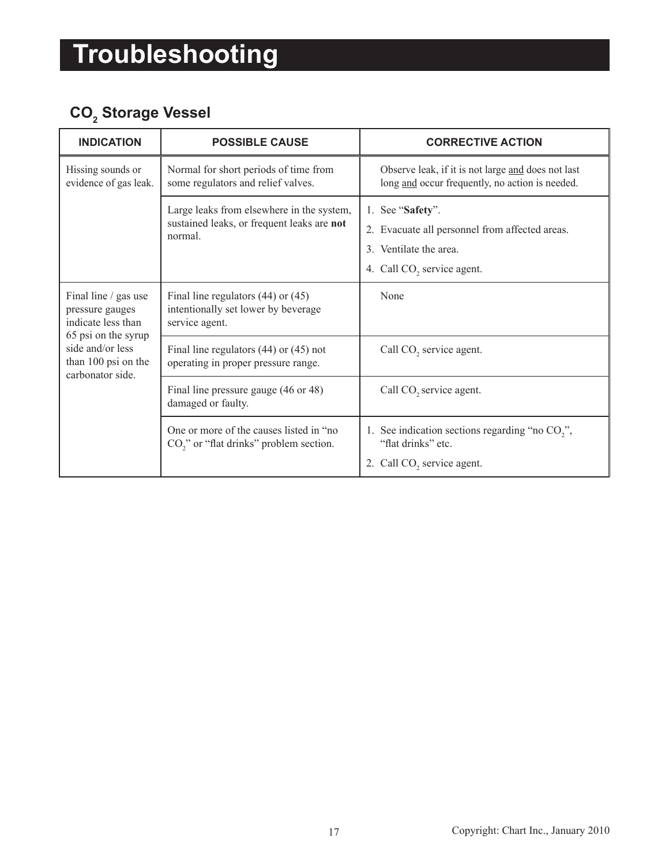### **CO<sup>2</sup> Storage Vessel**

| <b>INDICATION</b>                                                                                                                                  | <b>POSSIBLE CAUSE</b>                                                                              | <b>CORRECTIVE ACTION</b>                                                                                          |  |
|----------------------------------------------------------------------------------------------------------------------------------------------------|----------------------------------------------------------------------------------------------------|-------------------------------------------------------------------------------------------------------------------|--|
| Hissing sounds or<br>evidence of gas leak.                                                                                                         | Normal for short periods of time from<br>some regulators and relief valves.                        | Observe leak, if it is not large and does not last<br>long and occur frequently, no action is needed.             |  |
|                                                                                                                                                    | Large leaks from elsewhere in the system,<br>sustained leaks, or frequent leaks are not<br>normal. | 1. See "Safety".<br>2. Evacuate all personnel from affected areas.<br>3. Ventilate the area.                      |  |
|                                                                                                                                                    |                                                                                                    | 4. Call CO <sub>2</sub> service agent.                                                                            |  |
| Final line / gas use<br>pressure gauges<br>indicate less than<br>65 psi on the syrup<br>side and/or less<br>than 100 psi on the<br>carbonator side | Final line regulators $(44)$ or $(45)$<br>intentionally set lower by beverage<br>service agent.    | None                                                                                                              |  |
|                                                                                                                                                    | Final line regulators $(44)$ or $(45)$ not<br>operating in proper pressure range.                  | Call CO <sub>2</sub> service agent.                                                                               |  |
|                                                                                                                                                    | Final line pressure gauge (46 or 48)<br>damaged or faulty.                                         | Call CO <sub>2</sub> service agent.                                                                               |  |
|                                                                                                                                                    | One or more of the causes listed in "no<br>CO <sub>2</sub> " or "flat drinks" problem section.     | 1. See indication sections regarding "no $CO$ ,",<br>"flat drinks" etc.<br>2. Call CO <sub>2</sub> service agent. |  |
|                                                                                                                                                    |                                                                                                    |                                                                                                                   |  |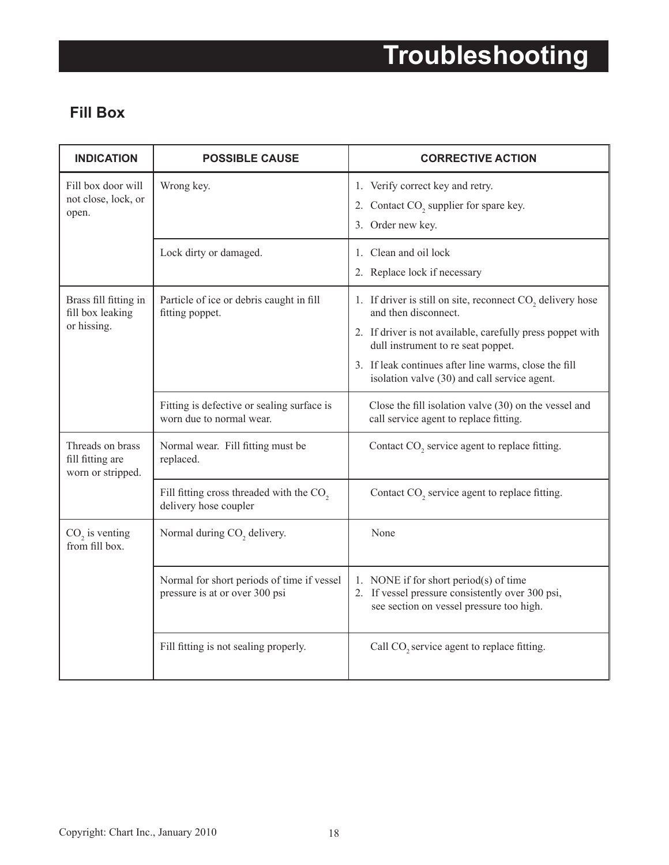#### **Fill Box**

| <b>INDICATION</b>                                         | <b>POSSIBLE CAUSE</b>                                                         | <b>CORRECTIVE ACTION</b>                                                                                                                                                                                                                                                                        |
|-----------------------------------------------------------|-------------------------------------------------------------------------------|-------------------------------------------------------------------------------------------------------------------------------------------------------------------------------------------------------------------------------------------------------------------------------------------------|
| Fill box door will<br>not close, lock, or<br>open.        | Wrong key.                                                                    | 1. Verify correct key and retry.<br>2. Contact CO <sub>2</sub> supplier for spare key.<br>3. Order new key.                                                                                                                                                                                     |
|                                                           | Lock dirty or damaged.                                                        | 1. Clean and oil lock<br>2. Replace lock if necessary                                                                                                                                                                                                                                           |
| Brass fill fitting in<br>fill box leaking<br>or hissing.  | Particle of ice or debris caught in fill<br>fitting poppet.                   | 1. If driver is still on site, reconnect CO, delivery hose<br>and then disconnect.<br>2. If driver is not available, carefully press poppet with<br>dull instrument to re seat poppet.<br>3. If leak continues after line warms, close the fill<br>isolation valve (30) and call service agent. |
|                                                           | Fitting is defective or sealing surface is<br>worn due to normal wear.        | Close the fill isolation valve (30) on the vessel and<br>call service agent to replace fitting.                                                                                                                                                                                                 |
| Threads on brass<br>fill fitting are<br>worn or stripped. | Normal wear. Fill fitting must be<br>replaced.                                | Contact CO <sub>2</sub> service agent to replace fitting.                                                                                                                                                                                                                                       |
|                                                           | Fill fitting cross threaded with the CO <sub>2</sub><br>delivery hose coupler | Contact CO <sub>2</sub> service agent to replace fitting.                                                                                                                                                                                                                                       |
| CO <sub>2</sub> is venting<br>from fill box.              | Normal during CO <sub>2</sub> delivery.                                       | None                                                                                                                                                                                                                                                                                            |
|                                                           | Normal for short periods of time if vessel<br>pressure is at or over 300 psi  | 1. NONE if for short period(s) of time<br>2. If vessel pressure consistently over 300 psi,<br>see section on vessel pressure too high.                                                                                                                                                          |
|                                                           | Fill fitting is not sealing properly.                                         | Call CO <sub>2</sub> service agent to replace fitting.                                                                                                                                                                                                                                          |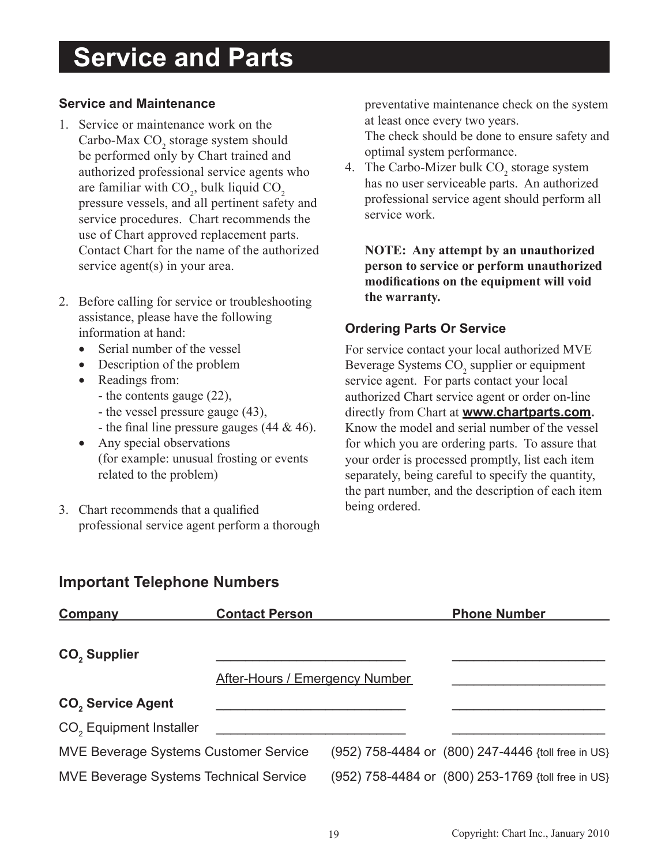### **Service and Parts**

#### **Service and Maintenance**

- 1. Service or maintenance work on the Carbo-Max  $CO_2$  storage system should be performed only by Chart trained and authorized professional service agents who are familiar with  $CO_2$ , bulk liquid  $CO_2$ pressure vessels, and all pertinent safety and service procedures. Chart recommends the use of Chart approved replacement parts. Contact Chart for the name of the authorized service agent(s) in your area.
- 2. Before calling for service or troubleshooting assistance, please have the following information at hand:
	- Serial number of the vessel
	- Description of the problem
	- Readings from:
		- the contents gauge (22),
		- the vessel pressure gauge (43),
		- the final line pressure gauges  $(44 \& 46)$ .
	- Any special observations (for example: unusual frosting or events related to the problem)
- 3. Chart recommends that a qualified professional service agent perform a thorough

preventative maintenance check on the system at least once every two years.

The check should be done to ensure safety and optimal system performance.

4. The Carbo-Mizer bulk  $CO_2$  storage system has no user serviceable parts. An authorized professional service agent should perform all service work.

**NOTE: Any attempt by an unauthorized person to service or perform unauthorized modifi cations on the equipment will void the warranty.**

#### **Ordering Parts Or Service**

For service contact your local authorized MVE Beverage Systems  $CO<sub>2</sub>$  supplier or equipment service agent. For parts contact your local authorized Chart service agent or order on-line directly from Chart at **www.chartparts.com.** Know the model and serial number of the vessel for which you are ordering parts. To assure that your order is processed promptly, list each item separately, being careful to specify the quantity, the part number, and the description of each item being ordered.

#### **Important Telephone Numbers**

| Company                                       | <b>Contact Person</b>                 |                                                    | <b>Phone Number</b> |  |
|-----------------------------------------------|---------------------------------------|----------------------------------------------------|---------------------|--|
| CO <sub>2</sub> Supplier                      |                                       |                                                    |                     |  |
|                                               | <b>After-Hours / Emergency Number</b> |                                                    |                     |  |
| <b>CO<sub>2</sub></b> Service Agent           |                                       |                                                    |                     |  |
| CO <sub>2</sub> Equipment Installer           |                                       |                                                    |                     |  |
| <b>MVE Beverage Systems Customer Service</b>  |                                       | (952) 758-4484 or (800) 247-4446 {toll free in US} |                     |  |
| <b>MVE Beverage Systems Technical Service</b> |                                       | (952) 758-4484 or (800) 253-1769 {toll free in US} |                     |  |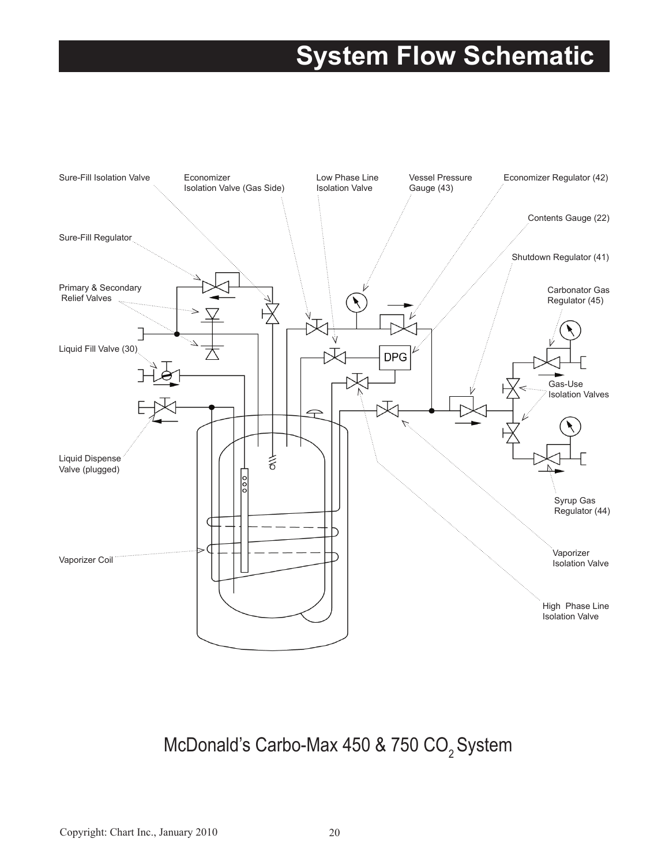### **System Flow Schematic**



### McDonald's Carbo-Max 450 & 750  $CO<sub>2</sub>$  System